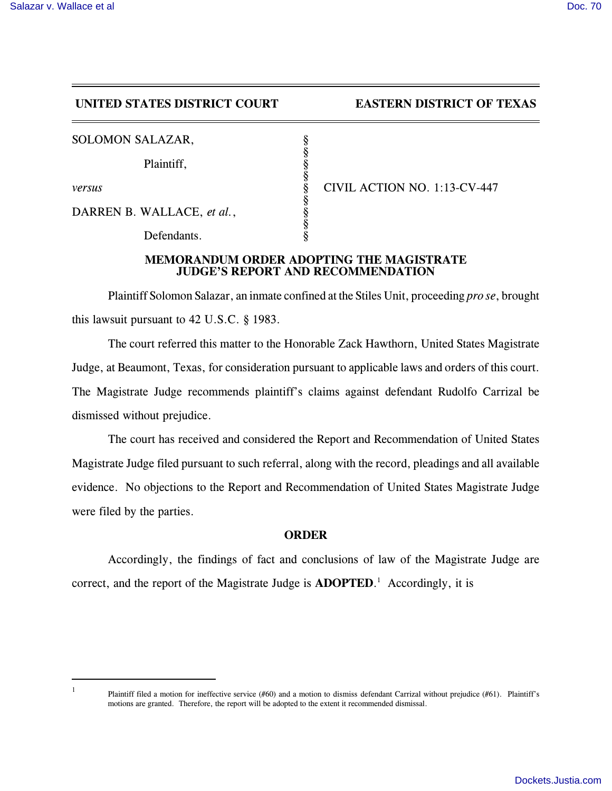## **UNITED STATES DISTRICT COURT EASTERN DISTRICT OF TEXAS**

| SOLOMON SALAZAR,           |                              |
|----------------------------|------------------------------|
| Plaintiff,                 |                              |
| versus                     | CIVIL ACTION NO. 1:13-CV-447 |
| DARREN B. WALLACE, et al., |                              |
| Defendants.                |                              |

## **MEMORANDUM ORDER ADOPTING THE MAGISTRATE JUDGE'S REPORT AND RECOMMENDATION**

Plaintiff Solomon Salazar, an inmate confined at the Stiles Unit, proceeding *pro se*, brought this lawsuit pursuant to 42 U.S.C. § 1983.

The court referred this matter to the Honorable Zack Hawthorn, United States Magistrate Judge, at Beaumont, Texas, for consideration pursuant to applicable laws and orders of this court. The Magistrate Judge recommends plaintiff's claims against defendant Rudolfo Carrizal be dismissed without prejudice.

The court has received and considered the Report and Recommendation of United States Magistrate Judge filed pursuant to such referral, along with the record, pleadings and all available evidence. No objections to the Report and Recommendation of United States Magistrate Judge were filed by the parties.

## **ORDER**

Accordingly, the findings of fact and conclusions of law of the Magistrate Judge are correct, and the report of the Magistrate Judge is **ADOPTED**. <sup>1</sup> Accordingly, it is

1

Plaintiff filed a motion for ineffective service (#60) and a motion to dismiss defendant Carrizal without prejudice (#61). Plaintiff's motions are granted. Therefore, the report will be adopted to the extent it recommended dismissal.